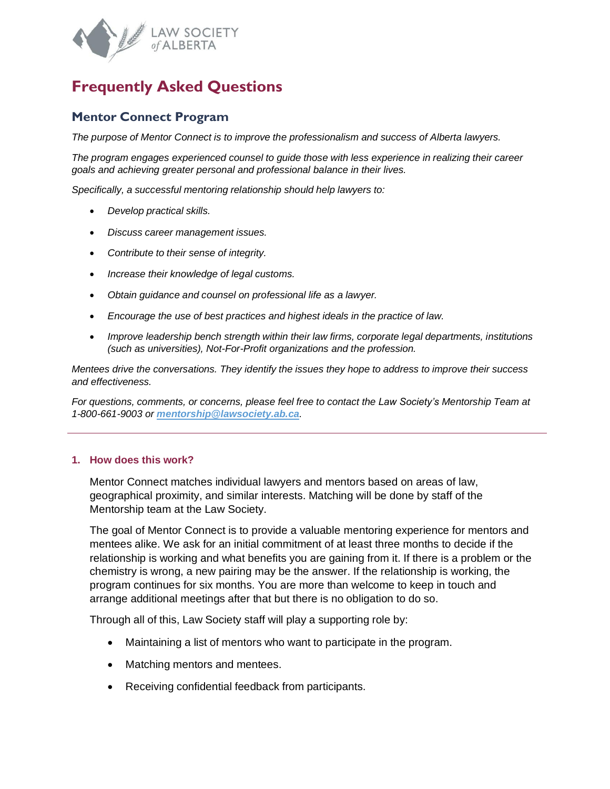

# **Frequently Asked Questions**

## **Mentor Connect Program**

*The purpose of Mentor Connect is to improve the professionalism and success of Alberta lawyers.*

*The program engages experienced counsel to guide those with less experience in realizing their career goals and achieving greater personal and professional balance in their lives.*

*Specifically, a successful mentoring relationship should help lawyers to:*

- *Develop practical skills.*
- *Discuss career management issues.*
- *Contribute to their sense of integrity.*
- *Increase their knowledge of legal customs.*
- *Obtain guidance and counsel on professional life as a lawyer.*
- *Encourage the use of best practices and highest ideals in the practice of law.*
- *Improve leadership bench strength within their law firms, corporate legal departments, institutions (such as universities), Not-For-Profit organizations and the profession.*

*Mentees drive the conversations. They identify the issues they hope to address to improve their success and effectiveness.*

*For questions, comments, or concerns, please feel free to contact the Law Society's Mentorship Team at 1-800-661-9003 or [mentorship@lawsociety.ab.ca](mailto:mentorship@lawsociety.ab.ca).*

#### **1. How does this work?**

Mentor Connect matches individual lawyers and mentors based on areas of law, geographical proximity, and similar interests. Matching will be done by staff of the Mentorship team at the Law Society.

The goal of Mentor Connect is to provide a valuable mentoring experience for mentors and mentees alike. We ask for an initial commitment of at least three months to decide if the relationship is working and what benefits you are gaining from it. If there is a problem or the chemistry is wrong, a new pairing may be the answer. If the relationship is working, the program continues for six months. You are more than welcome to keep in touch and arrange additional meetings after that but there is no obligation to do so.

Through all of this, Law Society staff will play a supporting role by:

- Maintaining a list of mentors who want to participate in the program.
- Matching mentors and mentees.
- Receiving confidential feedback from participants.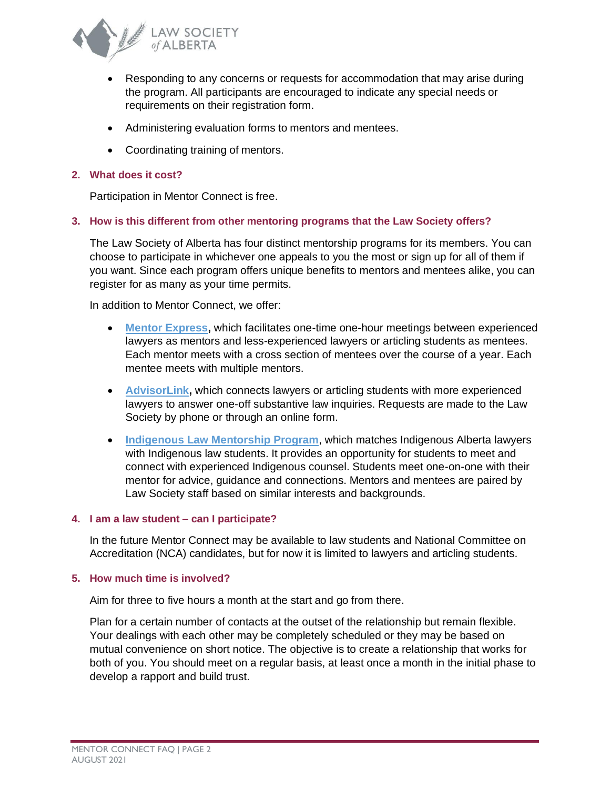

- Responding to any concerns or requests for accommodation that may arise during the program. All participants are encouraged to indicate any special needs or requirements on their registration form.
- Administering evaluation forms to mentors and mentees.
- Coordinating training of mentors.

## **2. What does it cost?**

Participation in Mentor Connect is free.

## **3. How is this different from other mentoring programs that the Law Society offers?**

The Law Society of Alberta has four distinct mentorship programs for its members. You can choose to participate in whichever one appeals to you the most or sign up for all of them if you want. Since each program offers unique benefits to mentors and mentees alike, you can register for as many as your time permits.

In addition to Mentor Connect, we offer:

- **[Mentor Express,](https://www.lawsociety.ab.ca/resource-centre/programs/mentor-express/)** which facilitates one-time one-hour meetings between experienced lawyers as mentors and less-experienced lawyers or articling students as mentees. Each mentor meets with a cross section of mentees over the course of a year. Each mentee meets with multiple mentors.
- **[AdvisorLink,](https://www.lawsociety.ab.ca/resource-centre/programs/advisor-network/)** which connects lawyers or articling students with more experienced lawyers to answer one-off substantive law inquiries. Requests are made to the Law Society by phone or through an online form.
- **[Indigenous Law Mentorship Program](https://www.lawsociety.ab.ca/about-us/key-initiatives/indigenous-initiatives/indigenous-law-mentorship-program/)**, which matches Indigenous Alberta lawyers with Indigenous law students. It provides an opportunity for students to meet and connect with experienced Indigenous counsel. Students meet one-on-one with their mentor for advice, guidance and connections. Mentors and mentees are paired by Law Society staff based on similar interests and backgrounds.

#### **4. I am a law student – can I participate?**

In the future Mentor Connect may be available to law students and National Committee on Accreditation (NCA) candidates, but for now it is limited to lawyers and articling students.

#### **5. How much time is involved?**

Aim for three to five hours a month at the start and go from there.

Plan for a certain number of contacts at the outset of the relationship but remain flexible. Your dealings with each other may be completely scheduled or they may be based on mutual convenience on short notice. The objective is to create a relationship that works for both of you. You should meet on a regular basis, at least once a month in the initial phase to develop a rapport and build trust.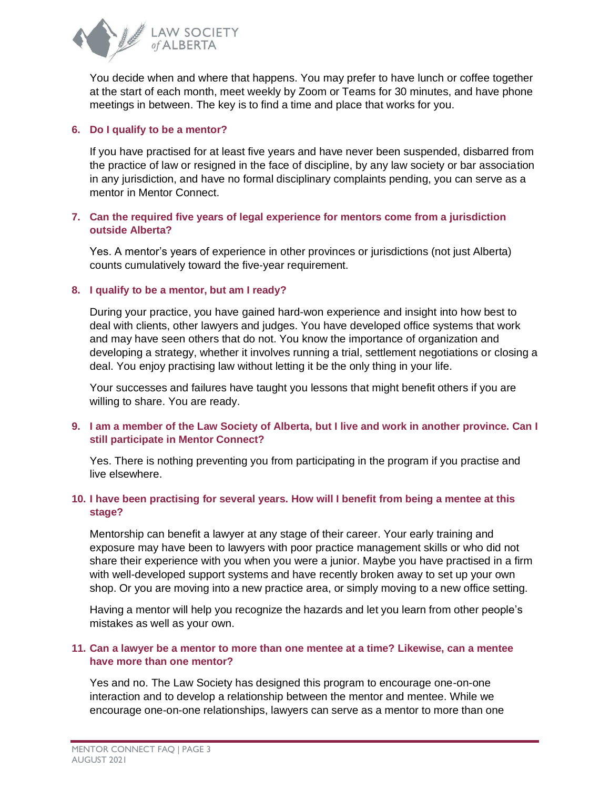

You decide when and where that happens. You may prefer to have lunch or coffee together at the start of each month, meet weekly by Zoom or Teams for 30 minutes, and have phone meetings in between. The key is to find a time and place that works for you.

## **6. Do I qualify to be a mentor?**

If you have practised for at least five years and have never been suspended, disbarred from the practice of law or resigned in the face of discipline, by any law society or bar association in any jurisdiction, and have no formal disciplinary complaints pending, you can serve as a mentor in Mentor Connect.

## **7. Can the required five years of legal experience for mentors come from a jurisdiction outside Alberta?**

Yes. A mentor's years of experience in other provinces or jurisdictions (not just Alberta) counts cumulatively toward the five-year requirement.

## **8. I qualify to be a mentor, but am I ready?**

During your practice, you have gained hard-won experience and insight into how best to deal with clients, other lawyers and judges. You have developed office systems that work and may have seen others that do not. You know the importance of organization and developing a strategy, whether it involves running a trial, settlement negotiations or closing a deal. You enjoy practising law without letting it be the only thing in your life.

Your successes and failures have taught you lessons that might benefit others if you are willing to share. You are ready.

## **9. I am a member of the Law Society of Alberta, but I live and work in another province. Can I still participate in Mentor Connect?**

Yes. There is nothing preventing you from participating in the program if you practise and live elsewhere.

## **10. I have been practising for several years. How will I benefit from being a mentee at this stage?**

Mentorship can benefit a lawyer at any stage of their career. Your early training and exposure may have been to lawyers with poor practice management skills or who did not share their experience with you when you were a junior. Maybe you have practised in a firm with well-developed support systems and have recently broken away to set up your own shop. Or you are moving into a new practice area, or simply moving to a new office setting.

Having a mentor will help you recognize the hazards and let you learn from other people's mistakes as well as your own.

## **11. Can a lawyer be a mentor to more than one mentee at a time? Likewise, can a mentee have more than one mentor?**

Yes and no. The Law Society has designed this program to encourage one-on-one interaction and to develop a relationship between the mentor and mentee. While we encourage one-on-one relationships, lawyers can serve as a mentor to more than one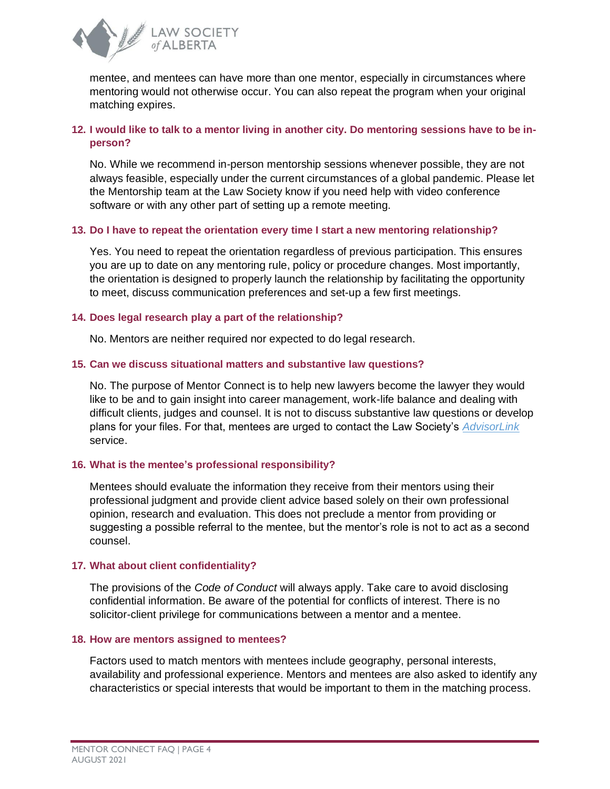

mentee, and mentees can have more than one mentor, especially in circumstances where mentoring would not otherwise occur. You can also repeat the program when your original matching expires.

## **12. I would like to talk to a mentor living in another city. Do mentoring sessions have to be inperson?**

No. While we recommend in-person mentorship sessions whenever possible, they are not always feasible, especially under the current circumstances of a global pandemic. Please let the Mentorship team at the Law Society know if you need help with video conference software or with any other part of setting up a remote meeting.

## **13. Do I have to repeat the orientation every time I start a new mentoring relationship?**

Yes. You need to repeat the orientation regardless of previous participation. This ensures you are up to date on any mentoring rule, policy or procedure changes. Most importantly, the orientation is designed to properly launch the relationship by facilitating the opportunity to meet, discuss communication preferences and set-up a few first meetings.

## **14. Does legal research play a part of the relationship?**

No. Mentors are neither required nor expected to do legal research.

## **15. Can we discuss situational matters and substantive law questions?**

No. The purpose of Mentor Connect is to help new lawyers become the lawyer they would like to be and to gain insight into career management, work-life balance and dealing with difficult clients, judges and counsel. It is not to discuss substantive law questions or develop plans for your files. For that, mentees are urged to contact the Law Society's *[AdvisorLink](https://www.lawsociety.ab.ca/resource-centre/programs/advisor-network/)* service.

#### **16. What is the mentee's professional responsibility?**

Mentees should evaluate the information they receive from their mentors using their professional judgment and provide client advice based solely on their own professional opinion, research and evaluation. This does not preclude a mentor from providing or suggesting a possible referral to the mentee, but the mentor's role is not to act as a second counsel.

#### **17. What about client confidentiality?**

The provisions of the *Code of Conduct* will always apply. Take care to avoid disclosing confidential information. Be aware of the potential for conflicts of interest. There is no solicitor-client privilege for communications between a mentor and a mentee.

#### **18. How are mentors assigned to mentees?**

Factors used to match mentors with mentees include geography, personal interests, availability and professional experience. Mentors and mentees are also asked to identify any characteristics or special interests that would be important to them in the matching process.